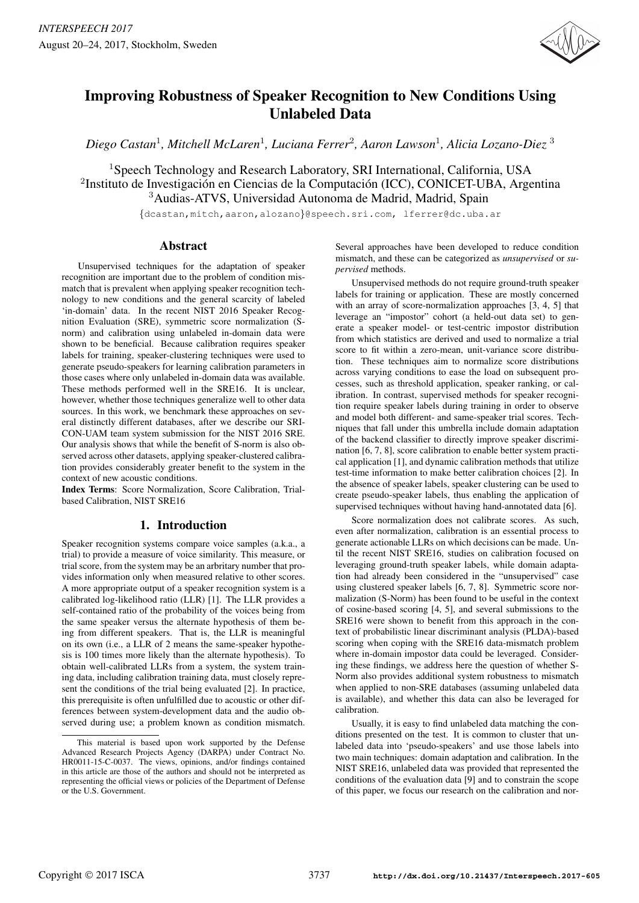

# Improving Robustness of Speaker Recognition to New Conditions Using Unlabeled Data

*Diego Castan*<sup>1</sup> *, Mitchell McLaren*<sup>1</sup> *, Luciana Ferrer*<sup>2</sup> *, Aaron Lawson*<sup>1</sup> *, Alicia Lozano-Diez* <sup>3</sup>

<sup>1</sup>Speech Technology and Research Laboratory, SRI International, California, USA <sup>2</sup>Instituto de Investigación en Ciencias de la Computación (ICC), CONICET-UBA, Argentina <sup>3</sup>Audias-ATVS, Universidad Autonoma de Madrid, Madrid, Spain

{dcastan,mitch,aaron,alozano}@speech.sri.com, lferrer@dc.uba.ar

# Abstract

Unsupervised techniques for the adaptation of speaker recognition are important due to the problem of condition mismatch that is prevalent when applying speaker recognition technology to new conditions and the general scarcity of labeled 'in-domain' data. In the recent NIST 2016 Speaker Recognition Evaluation (SRE), symmetric score normalization (Snorm) and calibration using unlabeled in-domain data were shown to be beneficial. Because calibration requires speaker labels for training, speaker-clustering techniques were used to generate pseudo-speakers for learning calibration parameters in those cases where only unlabeled in-domain data was available. These methods performed well in the SRE16. It is unclear, however, whether those techniques generalize well to other data sources. In this work, we benchmark these approaches on several distinctly different databases, after we describe our SRI-CON-UAM team system submission for the NIST 2016 SRE. Our analysis shows that while the benefit of S-norm is also observed across other datasets, applying speaker-clustered calibration provides considerably greater benefit to the system in the context of new acoustic conditions.

Index Terms: Score Normalization, Score Calibration, Trialbased Calibration, NIST SRE16

# 1. Introduction

Speaker recognition systems compare voice samples (a.k.a., a trial) to provide a measure of voice similarity. This measure, or trial score, from the system may be an arbritary number that provides information only when measured relative to other scores. A more appropriate output of a speaker recognition system is a calibrated log-likelihood ratio (LLR) [1]. The LLR provides a self-contained ratio of the probability of the voices being from the same speaker versus the alternate hypothesis of them being from different speakers. That is, the LLR is meaningful on its own (i.e., a LLR of 2 means the same-speaker hypothesis is 100 times more likely than the alternate hypothesis). To obtain well-calibrated LLRs from a system, the system training data, including calibration training data, must closely represent the conditions of the trial being evaluated [2]. In practice, this prerequisite is often unfulfilled due to acoustic or other differences between system-development data and the audio observed during use; a problem known as condition mismatch. Several approaches have been developed to reduce condition mismatch, and these can be categorized as *unsupervised* or *supervised* methods.

Unsupervised methods do not require ground-truth speaker labels for training or application. These are mostly concerned with an array of score-normalization approaches [3, 4, 5] that leverage an "impostor" cohort (a held-out data set) to generate a speaker model- or test-centric impostor distribution from which statistics are derived and used to normalize a trial score to fit within a zero-mean, unit-variance score distribution. These techniques aim to normalize score distributions across varying conditions to ease the load on subsequent processes, such as threshold application, speaker ranking, or calibration. In contrast, supervised methods for speaker recognition require speaker labels during training in order to observe and model both different- and same-speaker trial scores. Techniques that fall under this umbrella include domain adaptation of the backend classifier to directly improve speaker discrimination [6, 7, 8], score calibration to enable better system practical application [1], and dynamic calibration methods that utilize test-time information to make better calibration choices [2]. In the absence of speaker labels, speaker clustering can be used to create pseudo-speaker labels, thus enabling the application of supervised techniques without having hand-annotated data [6].

Score normalization does not calibrate scores. As such, even after normalization, calibration is an essential process to generate actionable LLRs on which decisions can be made. Until the recent NIST SRE16, studies on calibration focused on leveraging ground-truth speaker labels, while domain adaptation had already been considered in the "unsupervised" case using clustered speaker labels [6, 7, 8]. Symmetric score normalization (S-Norm) has been found to be useful in the context of cosine-based scoring [4, 5], and several submissions to the SRE16 were shown to benefit from this approach in the context of probabilistic linear discriminant analysis (PLDA)-based scoring when coping with the SRE16 data-mismatch problem where in-domain impostor data could be leveraged. Considering these findings, we address here the question of whether S-Norm also provides additional system robustness to mismatch when applied to non-SRE databases (assuming unlabeled data is available), and whether this data can also be leveraged for calibration.

Usually, it is easy to find unlabeled data matching the conditions presented on the test. It is common to cluster that unlabeled data into 'pseudo-speakers' and use those labels into two main techniques: domain adaptation and calibration. In the NIST SRE16, unlabeled data was provided that represented the conditions of the evaluation data [9] and to constrain the scope of this paper, we focus our research on the calibration and nor-

This material is based upon work supported by the Defense Advanced Research Projects Agency (DARPA) under Contract No. HR0011-15-C-0037. The views, opinions, and/or findings contained in this article are those of the authors and should not be interpreted as representing the official views or policies of the Department of Defense or the U.S. Government.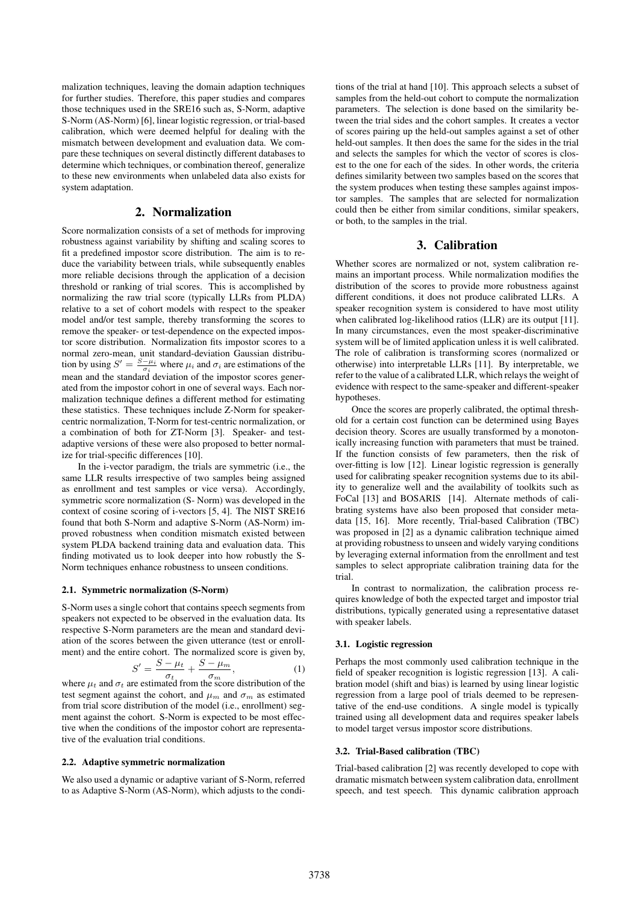malization techniques, leaving the domain adaption techniques for further studies. Therefore, this paper studies and compares those techniques used in the SRE16 such as, S-Norm, adaptive S-Norm (AS-Norm) [6], linear logistic regression, or trial-based calibration, which were deemed helpful for dealing with the mismatch between development and evaluation data. We compare these techniques on several distinctly different databases to determine which techniques, or combination thereof, generalize to these new environments when unlabeled data also exists for system adaptation.

# 2. Normalization

Score normalization consists of a set of methods for improving robustness against variability by shifting and scaling scores to fit a predefined impostor score distribution. The aim is to reduce the variability between trials, while subsequently enables more reliable decisions through the application of a decision threshold or ranking of trial scores. This is accomplished by normalizing the raw trial score (typically LLRs from PLDA) relative to a set of cohort models with respect to the speaker model and/or test sample, thereby transforming the scores to remove the speaker- or test-dependence on the expected impostor score distribution. Normalization fits impostor scores to a normal zero-mean, unit standard-deviation Gaussian distribution by using  $S' = \frac{S - \mu_i}{\sigma_i}$  where  $\mu_i$  and  $\sigma_i$  are estimations of the mean and the standard deviation of the impostor scores generated from the impostor cohort in one of several ways. Each normalization technique defines a different method for estimating these statistics. These techniques include Z-Norm for speakercentric normalization, T-Norm for test-centric normalization, or a combination of both for ZT-Norm [3]. Speaker- and testadaptive versions of these were also proposed to better normalize for trial-specific differences [10].

In the i-vector paradigm, the trials are symmetric (i.e., the same LLR results irrespective of two samples being assigned as enrollment and test samples or vice versa). Accordingly, symmetric score normalization (S- Norm) was developed in the context of cosine scoring of i-vectors [5, 4]. The NIST SRE16 found that both S-Norm and adaptive S-Norm (AS-Norm) improved robustness when condition mismatch existed between system PLDA backend training data and evaluation data. This finding motivated us to look deeper into how robustly the S-Norm techniques enhance robustness to unseen conditions.

#### 2.1. Symmetric normalization (S-Norm)

S-Norm uses a single cohort that contains speech segments from speakers not expected to be observed in the evaluation data. Its respective S-Norm parameters are the mean and standard deviation of the scores between the given utterance (test or enrollment) and the entire cohort. The normalized score is given by,

$$
S' = \frac{S - \mu_t}{\sigma_t} + \frac{S - \mu_m}{\sigma_m},\tag{1}
$$

where  $\mu_t$  and  $\sigma_t$  are estimated from the score distribution of the test segment against the cohort, and  $\mu_m$  and  $\sigma_m$  as estimated from trial score distribution of the model (i.e., enrollment) segment against the cohort. S-Norm is expected to be most effective when the conditions of the impostor cohort are representative of the evaluation trial conditions.

#### 2.2. Adaptive symmetric normalization

We also used a dynamic or adaptive variant of S-Norm, referred to as Adaptive S-Norm (AS-Norm), which adjusts to the condi-

tions of the trial at hand [10]. This approach selects a subset of samples from the held-out cohort to compute the normalization parameters. The selection is done based on the similarity between the trial sides and the cohort samples. It creates a vector of scores pairing up the held-out samples against a set of other held-out samples. It then does the same for the sides in the trial and selects the samples for which the vector of scores is closest to the one for each of the sides. In other words, the criteria defines similarity between two samples based on the scores that the system produces when testing these samples against impostor samples. The samples that are selected for normalization could then be either from similar conditions, similar speakers, or both, to the samples in the trial.

# 3. Calibration

Whether scores are normalized or not, system calibration remains an important process. While normalization modifies the distribution of the scores to provide more robustness against different conditions, it does not produce calibrated LLRs. A speaker recognition system is considered to have most utility when calibrated log-likelihood ratios (LLR) are its output [11]. In many circumstances, even the most speaker-discriminative system will be of limited application unless it is well calibrated. The role of calibration is transforming scores (normalized or otherwise) into interpretable LLRs [11]. By interpretable, we refer to the value of a calibrated LLR, which relays the weight of evidence with respect to the same-speaker and different-speaker hypotheses.

Once the scores are properly calibrated, the optimal threshold for a certain cost function can be determined using Bayes decision theory. Scores are usually transformed by a monotonically increasing function with parameters that must be trained. If the function consists of few parameters, then the risk of over-fitting is low [12]. Linear logistic regression is generally used for calibrating speaker recognition systems due to its ability to generalize well and the availability of toolkits such as FoCal [13] and BOSARIS [14]. Alternate methods of calibrating systems have also been proposed that consider metadata [15, 16]. More recently, Trial-based Calibration (TBC) was proposed in [2] as a dynamic calibration technique aimed at providing robustness to unseen and widely varying conditions by leveraging external information from the enrollment and test samples to select appropriate calibration training data for the trial.

In contrast to normalization, the calibration process requires knowledge of both the expected target and impostor trial distributions, typically generated using a representative dataset with speaker labels.

#### 3.1. Logistic regression

Perhaps the most commonly used calibration technique in the field of speaker recognition is logistic regression [13]. A calibration model (shift and bias) is learned by using linear logistic regression from a large pool of trials deemed to be representative of the end-use conditions. A single model is typically trained using all development data and requires speaker labels to model target versus impostor score distributions.

#### 3.2. Trial-Based calibration (TBC)

Trial-based calibration [2] was recently developed to cope with dramatic mismatch between system calibration data, enrollment speech, and test speech. This dynamic calibration approach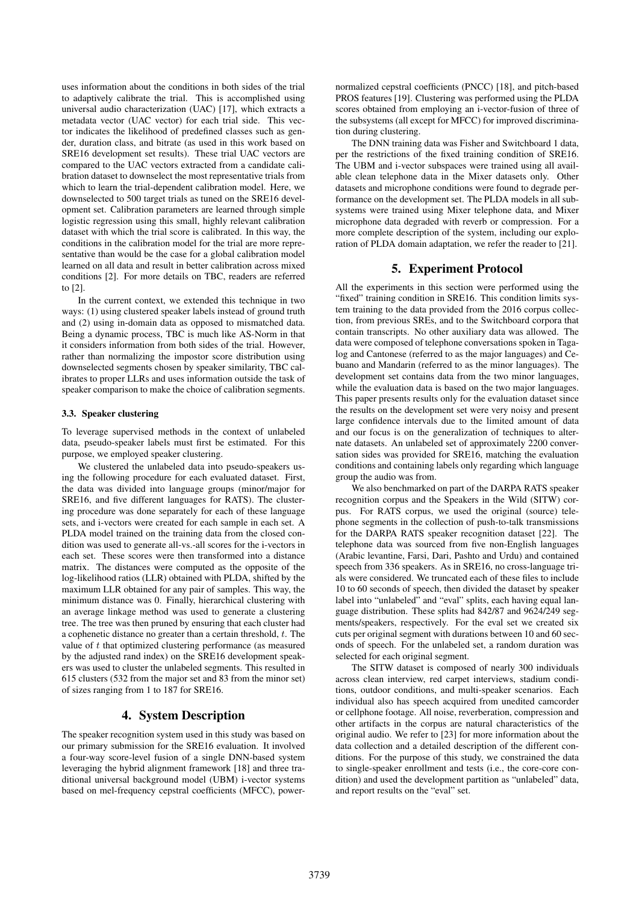uses information about the conditions in both sides of the trial to adaptively calibrate the trial. This is accomplished using universal audio characterization (UAC) [17], which extracts a metadata vector (UAC vector) for each trial side. This vector indicates the likelihood of predefined classes such as gender, duration class, and bitrate (as used in this work based on SRE16 development set results). These trial UAC vectors are compared to the UAC vectors extracted from a candidate calibration dataset to downselect the most representative trials from which to learn the trial-dependent calibration model. Here, we downselected to 500 target trials as tuned on the SRE16 development set. Calibration parameters are learned through simple logistic regression using this small, highly relevant calibration dataset with which the trial score is calibrated. In this way, the conditions in the calibration model for the trial are more representative than would be the case for a global calibration model learned on all data and result in better calibration across mixed conditions [2]. For more details on TBC, readers are referred to [2].

In the current context, we extended this technique in two ways: (1) using clustered speaker labels instead of ground truth and (2) using in-domain data as opposed to mismatched data. Being a dynamic process, TBC is much like AS-Norm in that it considers information from both sides of the trial. However, rather than normalizing the impostor score distribution using downselected segments chosen by speaker similarity, TBC calibrates to proper LLRs and uses information outside the task of speaker comparison to make the choice of calibration segments.

#### 3.3. Speaker clustering

To leverage supervised methods in the context of unlabeled data, pseudo-speaker labels must first be estimated. For this purpose, we employed speaker clustering.

We clustered the unlabeled data into pseudo-speakers using the following procedure for each evaluated dataset. First, the data was divided into language groups (minor/major for SRE16, and five different languages for RATS). The clustering procedure was done separately for each of these language sets, and i-vectors were created for each sample in each set. A PLDA model trained on the training data from the closed condition was used to generate all-vs.-all scores for the i-vectors in each set. These scores were then transformed into a distance matrix. The distances were computed as the opposite of the log-likelihood ratios (LLR) obtained with PLDA, shifted by the maximum LLR obtained for any pair of samples. This way, the minimum distance was 0. Finally, hierarchical clustering with an average linkage method was used to generate a clustering tree. The tree was then pruned by ensuring that each cluster had a cophenetic distance no greater than a certain threshold,  $t$ . The value of  $t$  that optimized clustering performance (as measured by the adjusted rand index) on the SRE16 development speakers was used to cluster the unlabeled segments. This resulted in 615 clusters (532 from the major set and 83 from the minor set) of sizes ranging from 1 to 187 for SRE16.

# 4. System Description

The speaker recognition system used in this study was based on our primary submission for the SRE16 evaluation. It involved a four-way score-level fusion of a single DNN-based system leveraging the hybrid alignment framework [18] and three traditional universal background model (UBM) i-vector systems based on mel-frequency cepstral coefficients (MFCC), power-

normalized cepstral coefficients (PNCC) [18], and pitch-based PROS features [19]. Clustering was performed using the PLDA scores obtained from employing an i-vector-fusion of three of the subsystems (all except for MFCC) for improved discrimination during clustering.

The DNN training data was Fisher and Switchboard 1 data, per the restrictions of the fixed training condition of SRE16. The UBM and i-vector subspaces were trained using all available clean telephone data in the Mixer datasets only. Other datasets and microphone conditions were found to degrade performance on the development set. The PLDA models in all subsystems were trained using Mixer telephone data, and Mixer microphone data degraded with reverb or compression. For a more complete description of the system, including our exploration of PLDA domain adaptation, we refer the reader to [21].

# 5. Experiment Protocol

All the experiments in this section were performed using the "fixed" training condition in SRE16. This condition limits system training to the data provided from the 2016 corpus collection, from previous SREs, and to the Switchboard corpora that contain transcripts. No other auxiliary data was allowed. The data were composed of telephone conversations spoken in Tagalog and Cantonese (referred to as the major languages) and Cebuano and Mandarin (referred to as the minor languages). The development set contains data from the two minor languages, while the evaluation data is based on the two major languages. This paper presents results only for the evaluation dataset since the results on the development set were very noisy and present large confidence intervals due to the limited amount of data and our focus is on the generalization of techniques to alternate datasets. An unlabeled set of approximately 2200 conversation sides was provided for SRE16, matching the evaluation conditions and containing labels only regarding which language group the audio was from.

We also benchmarked on part of the DARPA RATS speaker recognition corpus and the Speakers in the Wild (SITW) corpus. For RATS corpus, we used the original (source) telephone segments in the collection of push-to-talk transmissions for the DARPA RATS speaker recognition dataset [22]. The telephone data was sourced from five non-English languages (Arabic levantine, Farsi, Dari, Pashto and Urdu) and contained speech from 336 speakers. As in SRE16, no cross-language trials were considered. We truncated each of these files to include 10 to 60 seconds of speech, then divided the dataset by speaker label into "unlabeled" and "eval" splits, each having equal language distribution. These splits had 842/87 and 9624/249 segments/speakers, respectively. For the eval set we created six cuts per original segment with durations between 10 and 60 seconds of speech. For the unlabeled set, a random duration was selected for each original segment.

The SITW dataset is composed of nearly 300 individuals across clean interview, red carpet interviews, stadium conditions, outdoor conditions, and multi-speaker scenarios. Each individual also has speech acquired from unedited camcorder or cellphone footage. All noise, reverberation, compression and other artifacts in the corpus are natural characteristics of the original audio. We refer to [23] for more information about the data collection and a detailed description of the different conditions. For the purpose of this study, we constrained the data to single-speaker enrollment and tests (i.e., the core-core condition) and used the development partition as "unlabeled" data, and report results on the "eval" set.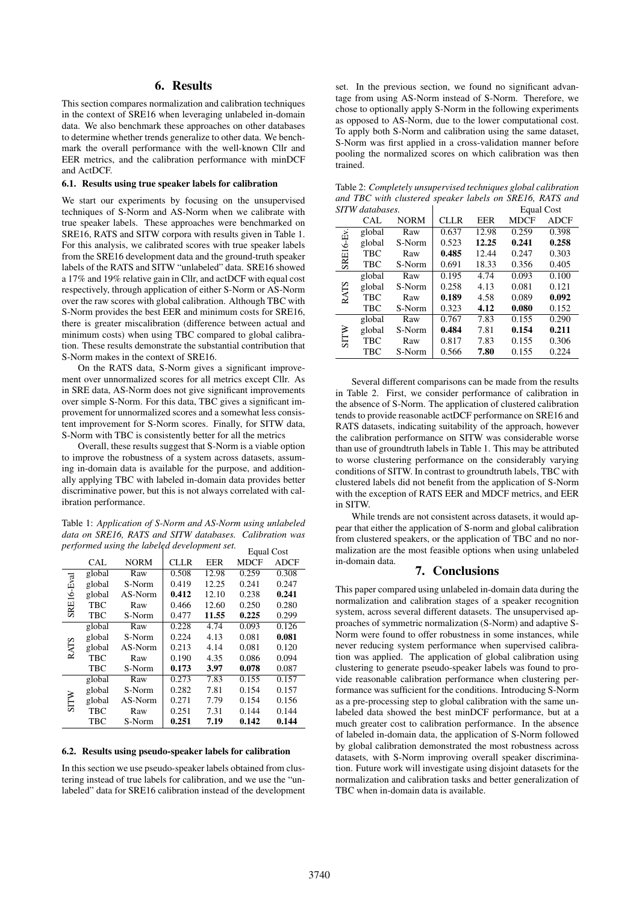# 6. Results

This section compares normalization and calibration techniques in the context of SRE16 when leveraging unlabeled in-domain data. We also benchmark these approaches on other databases to determine whether trends generalize to other data. We benchmark the overall performance with the well-known Cllr and EER metrics, and the calibration performance with minDCF and ActDCF.

#### 6.1. Results using true speaker labels for calibration

We start our experiments by focusing on the unsupervised techniques of S-Norm and AS-Norm when we calibrate with true speaker labels. These approaches were benchmarked on SRE16, RATS and SITW corpora with results given in Table 1. For this analysis, we calibrated scores with true speaker labels from the SRE16 development data and the ground-truth speaker labels of the RATS and SITW "unlabeled" data. SRE16 showed a 17% and 19% relative gain in Cllr, and actDCF with equal cost respectively, through application of either S-Norm or AS-Norm over the raw scores with global calibration. Although TBC with S-Norm provides the best EER and minimum costs for SRE16, there is greater miscalibration (difference between actual and minimum costs) when using TBC compared to global calibration. These results demonstrate the substantial contribution that S-Norm makes in the context of SRE16.

On the RATS data, S-Norm gives a significant improvement over unnormalized scores for all metrics except Cllr. As in SRE data, AS-Norm does not give significant improvements over simple S-Norm. For this data, TBC gives a significant improvement for unnormalized scores and a somewhat less consistent improvement for S-Norm scores. Finally, for SITW data, S-Norm with TBC is consistently better for all the metrics

Overall, these results suggest that S-Norm is a viable option to improve the robustness of a system across datasets, assuming in-domain data is available for the purpose, and additionally applying TBC with labeled in-domain data provides better discriminative power, but this is not always correlated with calibration performance.

Table 1: *Application of S-Norm and AS-Norm using unlabeled data on SRE16, RATS and SITW databases. Calibration was performed using the labeled development set.*

|             |            |             | performed using the tabella development sen |       |             | Equal Cost |  |
|-------------|------------|-------------|---------------------------------------------|-------|-------------|------------|--|
|             | CAL        | <b>NORM</b> | <b>CLLR</b>                                 | EER   | <b>MDCF</b> | ADCF       |  |
| SRE16-Eval  | global     | Raw         | 0.508                                       | 12.98 | 0.259       | 0.308      |  |
|             | global     | S-Norm      | 0.419                                       | 12.25 | 0.241       | 0.247      |  |
|             | global     | AS-Norm     | 0.412                                       | 12.10 | 0.238       | 0.241      |  |
|             | TBC        | Raw         | 0.466                                       | 12.60 | 0.250       | 0.280      |  |
|             | TBC        | S-Norm      | 0.477                                       | 11.55 | 0.225       | 0.299      |  |
| <b>RATS</b> | global     | Raw         | 0.228                                       | 4.74  | 0.093       | 0.126      |  |
|             | global     | S-Norm      | 0.224                                       | 4.13  | 0.081       | 0.081      |  |
|             | global     | AS-Norm     | 0.213                                       | 4.14  | 0.081       | 0.120      |  |
|             | <b>TBC</b> | Raw         | 0.190                                       | 4.35  | 0.086       | 0.094      |  |
|             | TBC        | S-Norm      | 0.173                                       | 3.97  | 0.078       | 0.087      |  |
| SITW        | global     | Raw         | 0.273                                       | 7.83  | 0.155       | 0.157      |  |
|             | global     | S-Norm      | 0.282                                       | 7.81  | 0.154       | 0.157      |  |
|             | global     | AS-Norm     | 0.271                                       | 7.79  | 0.154       | 0.156      |  |
|             | TBC        | Raw         | 0.251                                       | 7.31  | 0.144       | 0.144      |  |
|             | <b>TBC</b> | S-Norm      | 0.251                                       | 7.19  | 0.142       | 0.144      |  |

#### 6.2. Results using pseudo-speaker labels for calibration

In this section we use pseudo-speaker labels obtained from clustering instead of true labels for calibration, and we use the "unlabeled" data for SRE16 calibration instead of the development set. In the previous section, we found no significant advantage from using AS-Norm instead of S-Norm. Therefore, we chose to optionally apply S-Norm in the following experiments as opposed to AS-Norm, due to the lower computational cost. To apply both S-Norm and calibration using the same dataset, S-Norm was first applied in a cross-validation manner before pooling the normalized scores on which calibration was then trained.

| SITW databases. |            |             |             |            | Equal Cost |             |
|-----------------|------------|-------------|-------------|------------|------------|-------------|
|                 | CAL        | <b>NORM</b> | <b>CLLR</b> | <b>EER</b> | MDCF       | <b>ADCF</b> |
| SRE16-Ev.       | global     | Raw         | 0.637       | 12.98      | 0.259      | 0.398       |
|                 | global     | S-Norm      | 0.523       | 12.25      | 0.241      | 0.258       |
|                 | <b>TBC</b> | Raw         | 0.485       | 12.44      | 0.247      | 0.303       |
|                 | TBC        | S-Norm      | 0.691       | 18.33      | 0.356      | 0.405       |
| <b>RATS</b>     | global     | Raw         | 0.195       | 4.74       | 0.093      | 0.100       |
|                 | global     | S-Norm      | 0.258       | 4.13       | 0.081      | 0.121       |
|                 | <b>TBC</b> | Raw         | 0.189       | 4.58       | 0.089      | 0.092       |
|                 | TBC        | S-Norm      | 0.323       | 4.12       | 0.080      | 0.152       |
| SITW            | global     | Raw         | 0.767       | 7.83       | 0.155      | 0.290       |
|                 | global     | S-Norm      | 0.484       | 7.81       | 0.154      | 0.211       |
|                 | TBC        | Raw         | 0.817       | 7.83       | 0.155      | 0.306       |
|                 | TBC        | S-Norm      | 0.566       | 7.80       | 0.155      | 0.224       |

Table 2: *Completely unsupervised techniques global calibration and TBC with clustered speaker labels on SRE16, RATS and*

Several different comparisons can be made from the results in Table 2. First, we consider performance of calibration in the absence of S-Norm. The application of clustered calibration tends to provide reasonable actDCF performance on SRE16 and RATS datasets, indicating suitability of the approach, however the calibration performance on SITW was considerable worse than use of groundtruth labels in Table 1. This may be attributed to worse clustering performance on the considerably varying conditions of SITW. In contrast to groundtruth labels, TBC with clustered labels did not benefit from the application of S-Norm with the exception of RATS EER and MDCF metrics, and EER in SITW.

While trends are not consistent across datasets, it would appear that either the application of S-norm and global calibration from clustered speakers, or the application of TBC and no normalization are the most feasible options when using unlabeled in-domain data.

# 7. Conclusions

This paper compared using unlabeled in-domain data during the normalization and calibration stages of a speaker recognition system, across several different datasets. The unsupervised approaches of symmetric normalization (S-Norm) and adaptive S-Norm were found to offer robustness in some instances, while never reducing system performance when supervised calibration was applied. The application of global calibration using clustering to generate pseudo-speaker labels was found to provide reasonable calibration performance when clustering performance was sufficient for the conditions. Introducing S-Norm as a pre-processing step to global calibration with the same unlabeled data showed the best minDCF performance, but at a much greater cost to calibration performance. In the absence of labeled in-domain data, the application of S-Norm followed by global calibration demonstrated the most robustness across datasets, with S-Norm improving overall speaker discrimination. Future work will investigate using disjoint datasets for the normalization and calibration tasks and better generalization of TBC when in-domain data is available.